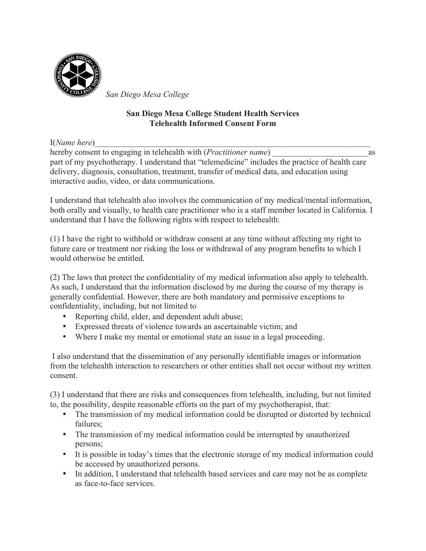

*San Diego Mesa College*

## **San Diego Mesa College Student Health Services Telehealth Informed Consent Form**

I(*Name here*)

hereby consent to engaging in telehealth with (*Practitioner name*) as part of my psychotherapy. I understand that "telemedicine" includes the practice of health care delivery, diagnosis, consultation, treatment, transfer of medical data, and education using interactive audio, video, or data communications.

I understand that telehealth also involves the communication of my medical/mental information, both orally and visually, to health care practitioner who is a staff member located in California. I understand that I have the following rights with respect to telehealth:

(1) I have the right to withhold or withdraw consent at any time without affecting my right to future care or treatment nor risking the loss or withdrawal of any program benefits to which I would otherwise be entitled.

(2) The laws that protect the confidentiality of my medical information also apply to telehealth. As such, I understand that the information disclosed by me during the course of my therapy is generally confidential. However, there are both mandatory and permissive exceptions to confidentiality, including, but not limited to

- Reporting child, elder, and dependent adult abuse;
- Expressed threats of violence towards an ascertainable victim; and
- Where I make my mental or emotional state an issue in a legal proceeding.

 I also understand that the dissemination of any personally identifiable images or information from the telehealth interaction to researchers or other entities shall not occur without my written consent.

(3) I understand that there are risks and consequences from telehealth, including, but not limited to, the possibility, despite reasonable efforts on the part of my psychotherapist, that:

- The transmission of my medical information could be disrupted or distorted by technical failures;
- The transmission of my medical information could be interrupted by unauthorized persons;
- It is possible in today's times that the electronic storage of my medical information could be accessed by unauthorized persons.
- In addition, I understand that telehealth based services and care may not be as complete as face-to-face services.